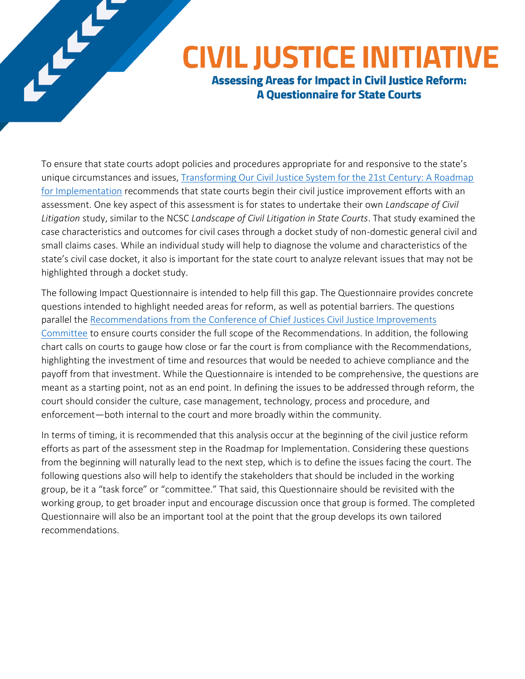# **CIVIL JUSTICE INITIATIVE**

**Assessing Areas for Impact in Civil Justice Reform: A Questionnaire for State Courts** 

To ensure that state courts adopt policies and procedures appropriate for and responsive to the state's unique circumstances and issues, [Transforming Our Civil Justice System for the 21st Century: A Roadmap](http://www.ncsc.org/~/media/Microsites/Files/Civil-Justice/CJI%20Implementation%20Roadmap.ashx)  for [Implementation](http://www.ncsc.org/~/media/Microsites/Files/Civil-Justice/CJI%20Implementation%20Roadmap.ashx) recommends that state courts begin their civil justice improvement efforts with an assessment. One key aspect of this assessment is for states to undertake their own *Landscape of Civil Litigation* study, similar to the NCSC *Landscape of Civil Litigation in State Courts*. That study examined the case characteristics and outcomes for civil cases through a docket study of non-domestic general civil and small claims cases. While an individual study will help to diagnose the volume and characteristics of the state's civil case docket, it also is important for the state court to analyze relevant issues that may not be highlighted through a docket study.

The following Impact Questionnaire is intended to help fill this gap. The Questionnaire provides concrete questions intended to highlight needed areas for reform, as well as potential barriers. The questions parallel the Recommendations from the Conference of Chief Justices Civil Justice Improvements [Committee](http://www.ncsc.org/~/media/Microsites/Files/Civil-Justice/NCSC-CJI-Report-Web.ashx) to ensure courts consider the full scope of the Recommendations. In addition, the following chart calls on courts to gauge how close or far the court is from compliance with the Recommendations, highlighting the investment of time and resources that would be needed to achieve compliance and the payoff from that investment. While the Questionnaire is intended to be comprehensive, the questions are meant as a starting point, not as an end point. In defining the issues to be addressed through reform, the court should consider the culture, case management, technology, process and procedure, and enforcement—both internal to the court and more broadly within the community.

In terms of timing, it is recommended that this analysis occur at the beginning of the civil justice reform efforts as part of the assessment step in the Roadmap for Implementation. Considering these questions from the beginning will naturally lead to the next step, which is to define the issues facing the court. The following questions also will help to identify the stakeholders that should be included in the working group, be it a "task force" or "committee." That said, this Questionnaire should be revisited with the working group, to get broader input and encourage discussion once that group is formed. The completed Questionnaire will also be an important tool at the point that the group develops its own tailored recommendations.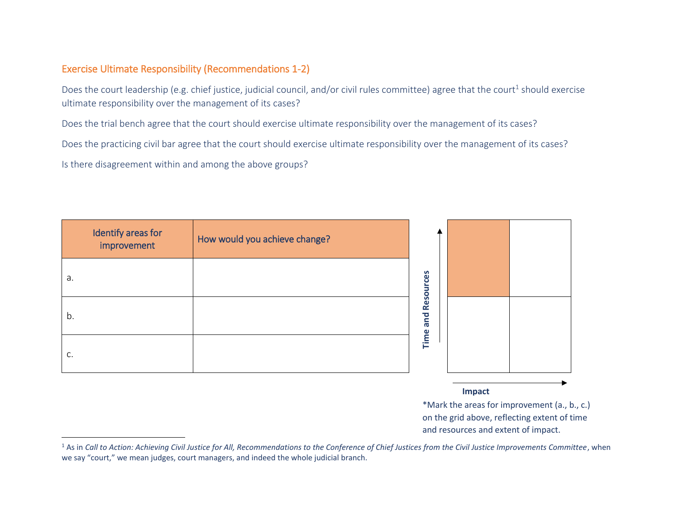#### Exercise Ultimate Responsibility (Recommendations 1-2)

Does the court leadership (e.g. chief justice, judicial council, and/or civil rules committee) agree that the court<sup>1</sup> should exercise ultimate responsibility over the management of its cases?

Does the trial bench agree that the court should exercise ultimate responsibility over the management of its cases?

Does the practicing civil bar agree that the court should exercise ultimate responsibility over the management of its cases?

Is there disagreement within and among the above groups?

l

| Identify areas for<br>improvement | How would you achieve change? |           |  |
|-----------------------------------|-------------------------------|-----------|--|
| a.                                |                               | Resources |  |
| b.                                |                               | and       |  |
| C.                                |                               | Time      |  |

**Impact**

<sup>1</sup> As in *Call to Action: Achieving Civil Justice for All, Recommendations to the Conference of Chief Justices from the Civil Justice Improvements Committee*, when we say "court," we mean judges, court managers, and indeed the whole judicial branch.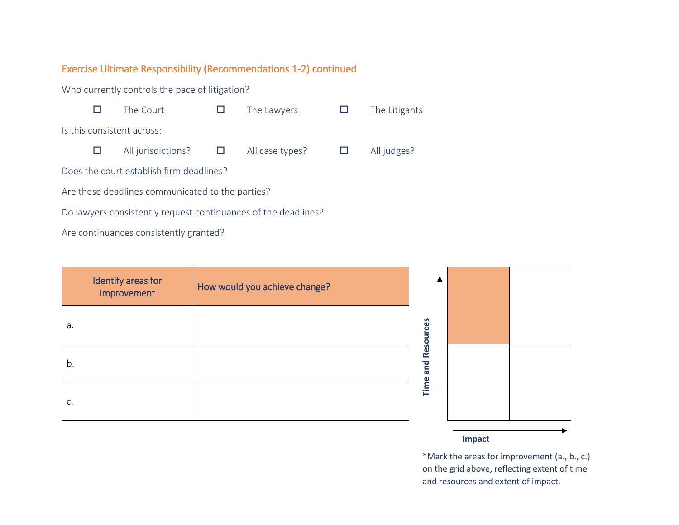#### Exercise Ultimate Responsibility (Recommendations 1-2) continued

Who currently controls the pace of litigation?  $\Box$  The Court  $\Box$  The Lawyers  $\Box$  The Litigants Is this consistent across:  $\Box$  All jurisdictions?  $\Box$  All case types?  $\Box$  All judges? Does the court establish firm deadlines? Are these deadlines communicated to the parties? Do lawyers consistently request continuances of the deadlines? Are continuances consistently granted?

Identify areas for improvement How would you achieve change? a. b. c.



\*Mark the areas for improvement (a., b., c.) on the grid above, reflecting extent of time and resources and extent of impact.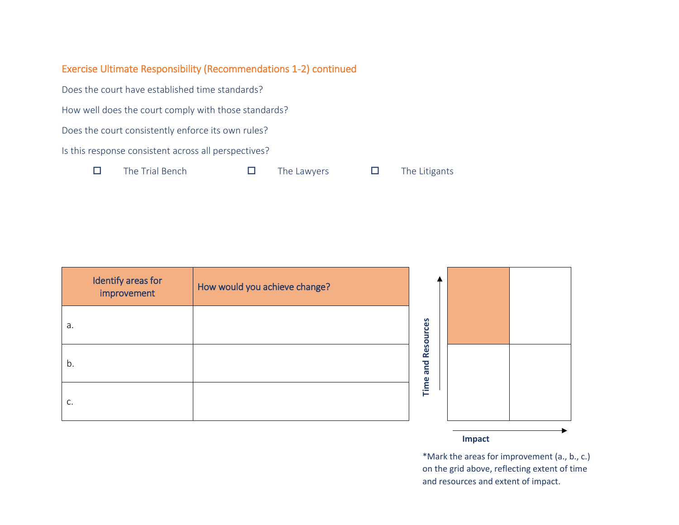## Exercise Ultimate Responsibility (Recommendations 1-2) continued

Does the court have established time standards?

How well does the court comply with those standards?

Does the court consistently enforce its own rules?

Is this response consistent across all perspectives?

 $\square$  The Trial Bench  $\square$  The Lawyers  $\square$  The Litigants

| Identify areas for<br>improvement | How would you achieve change? |
|-----------------------------------|-------------------------------|
| a.                                |                               |
| b.                                |                               |
| C.                                |                               |

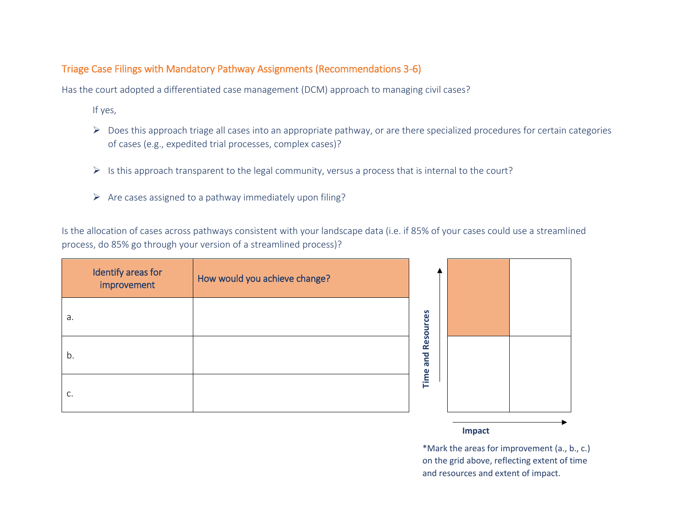#### Triage Case Filings with Mandatory Pathway Assignments (Recommendations 3-6)

Has the court adopted a differentiated case management (DCM) approach to managing civil cases?

If yes,

- ▶ Does this approach triage all cases into an appropriate pathway, or are there specialized procedures for certain categories of cases (e.g., expedited trial processes, complex cases)?
- $\triangleright$  Is this approach transparent to the legal community, versus a process that is internal to the court?
- $\triangleright$  Are cases assigned to a pathway immediately upon filing?

Is the allocation of cases across pathways consistent with your landscape data (i.e. if 85% of your cases could use a streamlined process, do 85% go through your version of a streamlined process)?

| Identify areas for<br>improvement | How would you achieve change? |
|-----------------------------------|-------------------------------|
| a.                                |                               |
| b.                                |                               |
| C.                                |                               |



\*Mark the areas for improvement (a., b., c.) on the grid above, reflecting extent of time and resources and extent of impact.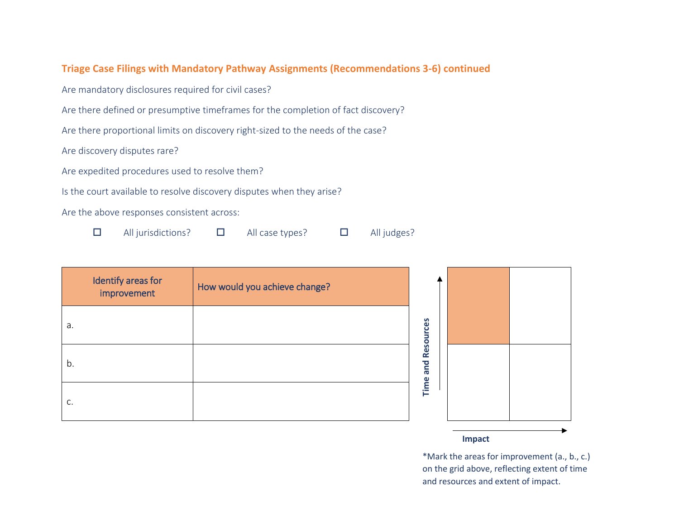#### **Triage Case Filings with Mandatory Pathway Assignments (Recommendations 3-6) continued**

Are mandatory disclosures required for civil cases?

Are there defined or presumptive timeframes for the completion of fact discovery?

Are there proportional limits on discovery right-sized to the needs of the case?

Are discovery disputes rare?

Are expedited procedures used to resolve them?

Is the court available to resolve discovery disputes when they arise?

Are the above responses consistent across:

 $\Box$  All jurisdictions?  $\Box$  All case types?  $\Box$  All judges?

| Identify areas for<br>improvement | How would you achieve change? |
|-----------------------------------|-------------------------------|
| a.                                |                               |
| b.                                |                               |
| C.                                |                               |



#### **Impact**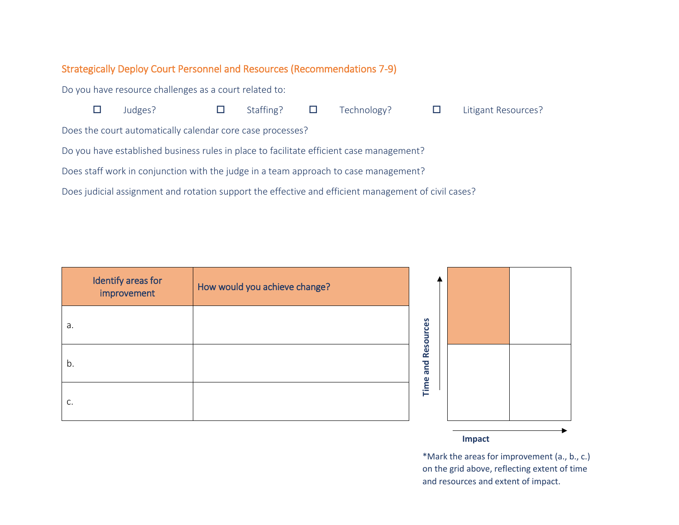## Strategically Deploy Court Personnel and Resources (Recommendations 7-9)

Do you have resource challenges as a court related to:

|                                                                                                      | Judges?                                                    |  | Staffing? $\Box$ |  | Technology? | Litigant Resources? |
|------------------------------------------------------------------------------------------------------|------------------------------------------------------------|--|------------------|--|-------------|---------------------|
|                                                                                                      | Does the court automatically calendar core case processes? |  |                  |  |             |                     |
| Do you have established business rules in place to facilitate efficient case management?             |                                                            |  |                  |  |             |                     |
| Does staff work in conjunction with the judge in a team approach to case management?                 |                                                            |  |                  |  |             |                     |
| Does judicial assignment and rotation support the effective and efficient management of civil cases? |                                                            |  |                  |  |             |                     |

|    | Identify areas for<br>improvement | How would you achieve change? |
|----|-----------------------------------|-------------------------------|
| a. |                                   |                               |
| b. |                                   |                               |
| C. |                                   |                               |



\*Mark the areas for improvement (a., b., c.) on the grid above, reflecting extent of time and resources and extent of impact.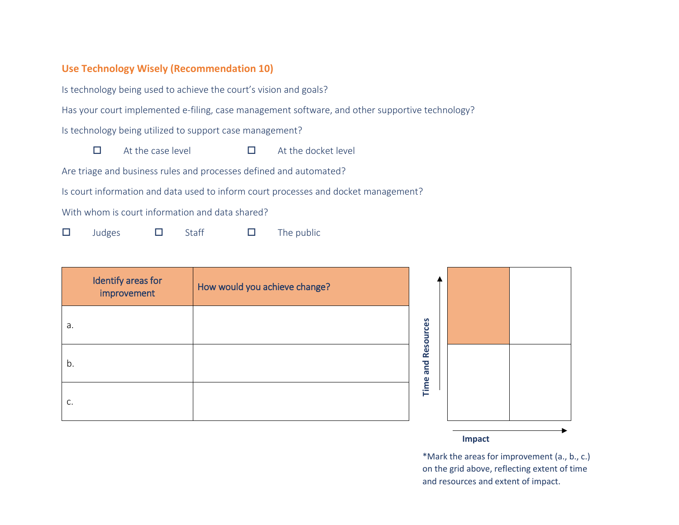#### **Use Technology Wisely (Recommendation 10)**

Is technology being used to achieve the court's vision and goals?

Has your court implemented e-filing, case management software, and other supportive technology?

Is technology being utilized to support case management?

 $\Box$  At the case level  $\Box$  At the docket level

Are triage and business rules and processes defined and automated?

Is court information and data used to inform court processes and docket management?

With whom is court information and data shared?

 $\Box$  Judges  $\Box$  Staff  $\Box$  The public

| Identify areas for<br>improvement | How would you achieve change? |
|-----------------------------------|-------------------------------|
| a.                                |                               |
| b.                                |                               |
| C.                                |                               |



\*Mark the areas for improvement (a., b., c.) on the grid above, reflecting extent of time and resources and extent of impact.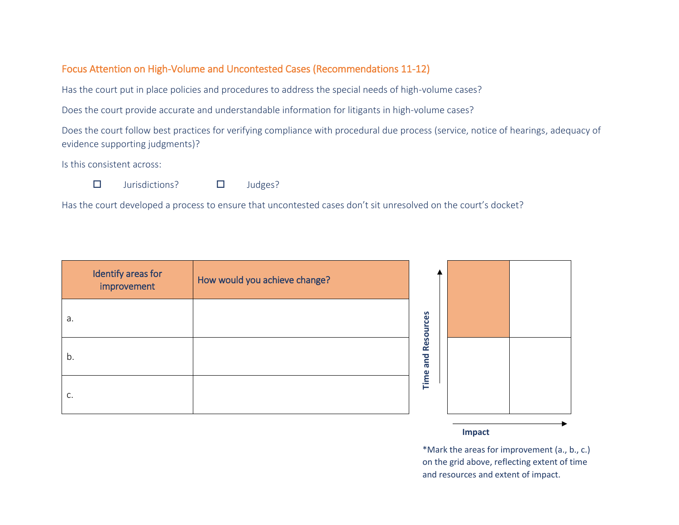#### Focus Attention on High-Volume and Uncontested Cases (Recommendations 11-12)

Has the court put in place policies and procedures to address the special needs of high-volume cases?

Does the court provide accurate and understandable information for litigants in high-volume cases?

Does the court follow best practices for verifying compliance with procedural due process (service, notice of hearings, adequacy of evidence supporting judgments)?

Is this consistent across:



 $\square$  Jurisdictions?  $\square$  Judges?

Has the court developed a process to ensure that uncontested cases don't sit unresolved on the court's docket?

| Identify areas for<br>improvement | How would you achieve change? |           |  |
|-----------------------------------|-------------------------------|-----------|--|
| a.                                |                               | Resources |  |
| b.                                |                               | and       |  |
| C.                                |                               | Time      |  |

#### **Impact**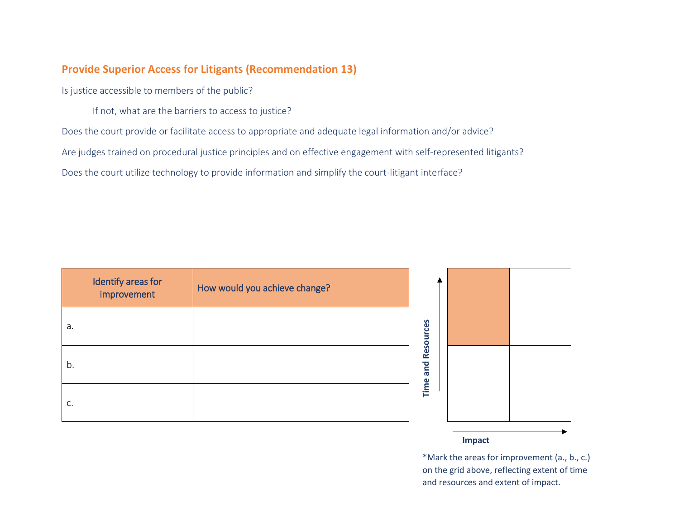#### **Provide Superior Access for Litigants (Recommendation 13)**

Is justice accessible to members of the public?

If not, what are the barriers to access to justice?

Does the court provide or facilitate access to appropriate and adequate legal information and/or advice?

Are judges trained on procedural justice principles and on effective engagement with self-represented litigants?

Does the court utilize technology to provide information and simplify the court-litigant interface?

| Identify areas for<br>improvement | How would you achieve change? |
|-----------------------------------|-------------------------------|
| a.                                |                               |
| b.                                |                               |
| C.                                |                               |



\*Mark the areas for improvement (a., b., c.) on the grid above, reflecting extent of time and resources and extent of impact.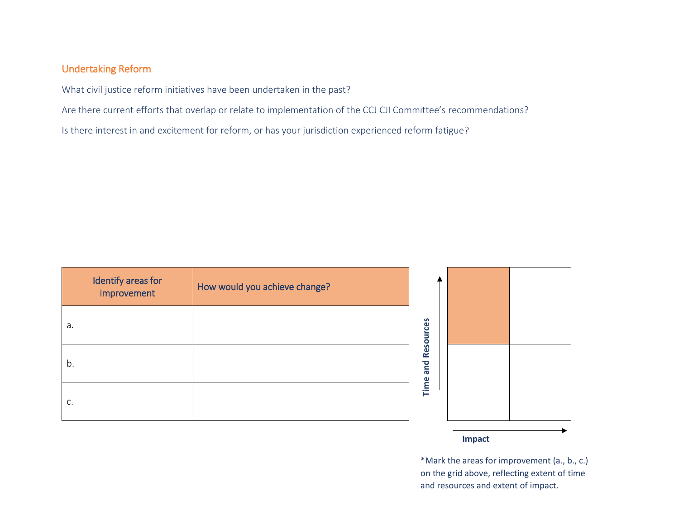## Undertaking Reform

What civil justice reform initiatives have been undertaken in the past?

Are there current efforts that overlap or relate to implementation of the CCJ CJI Committee's recommendations?

Is there interest in and excitement for reform, or has your jurisdiction experienced reform fatigue?

| Identify areas for<br>improvement | How would you achieve change? |
|-----------------------------------|-------------------------------|
| a.                                |                               |
| b.                                |                               |
| C.                                |                               |